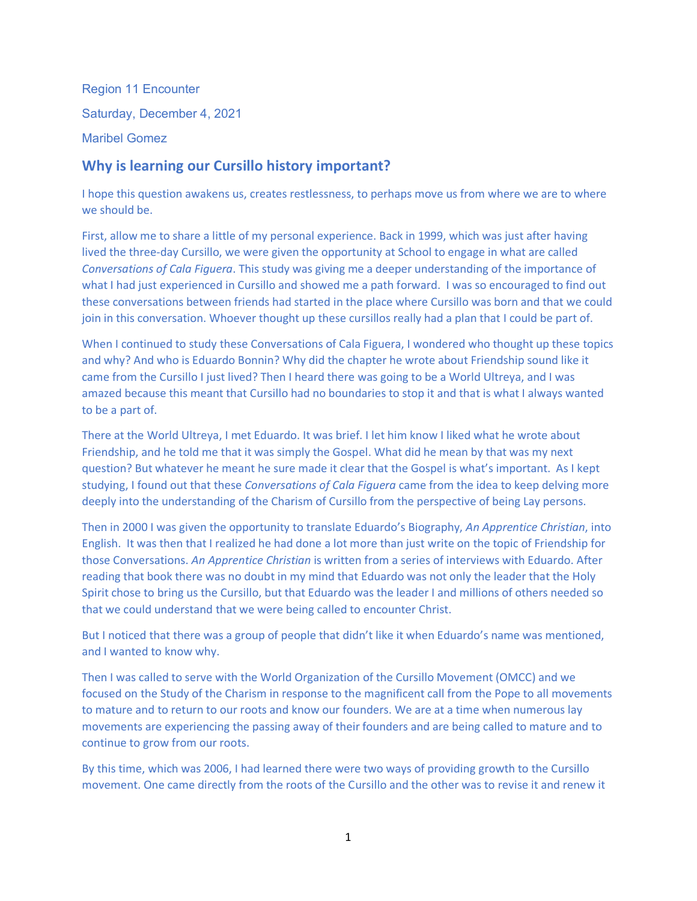Region 11 Encounter Saturday, December 4, 2021 Maribel Gomez

## **Why is learning our Cursillo history important?**

I hope this question awakens us, creates restlessness, to perhaps move us from where we are to where we should be.

First, allow me to share a little of my personal experience. Back in 1999, which was just after having lived the three-day Cursillo, we were given the opportunity at School to engage in what are called *Conversations of Cala Figuera*. This study was giving me a deeper understanding of the importance of what I had just experienced in Cursillo and showed me a path forward. I was so encouraged to find out these conversations between friends had started in the place where Cursillo was born and that we could join in this conversation. Whoever thought up these cursillos really had a plan that I could be part of.

When I continued to study these Conversations of Cala Figuera, I wondered who thought up these topics and why? And who is Eduardo Bonnin? Why did the chapter he wrote about Friendship sound like it came from the Cursillo I just lived? Then I heard there was going to be a World Ultreya, and I was amazed because this meant that Cursillo had no boundaries to stop it and that is what I always wanted to be a part of.

There at the World Ultreya, I met Eduardo. It was brief. I let him know I liked what he wrote about Friendship, and he told me that it was simply the Gospel. What did he mean by that was my next question? But whatever he meant he sure made it clear that the Gospel is what's important. As I kept studying, I found out that these *Conversations of Cala Figuera* came from the idea to keep delving more deeply into the understanding of the Charism of Cursillo from the perspective of being Lay persons.

Then in 2000 I was given the opportunity to translate Eduardo's Biography, *An Apprentice Christian*, into English. It was then that I realized he had done a lot more than just write on the topic of Friendship for those Conversations. *An Apprentice Christian* is written from a series of interviews with Eduardo. After reading that book there was no doubt in my mind that Eduardo was not only the leader that the Holy Spirit chose to bring us the Cursillo, but that Eduardo was the leader I and millions of others needed so that we could understand that we were being called to encounter Christ.

But I noticed that there was a group of people that didn't like it when Eduardo's name was mentioned, and I wanted to know why.

Then I was called to serve with the World Organization of the Cursillo Movement (OMCC) and we focused on the Study of the Charism in response to the magnificent call from the Pope to all movements to mature and to return to our roots and know our founders. We are at a time when numerous lay movements are experiencing the passing away of their founders and are being called to mature and to continue to grow from our roots.

By this time, which was 2006, I had learned there were two ways of providing growth to the Cursillo movement. One came directly from the roots of the Cursillo and the other was to revise it and renew it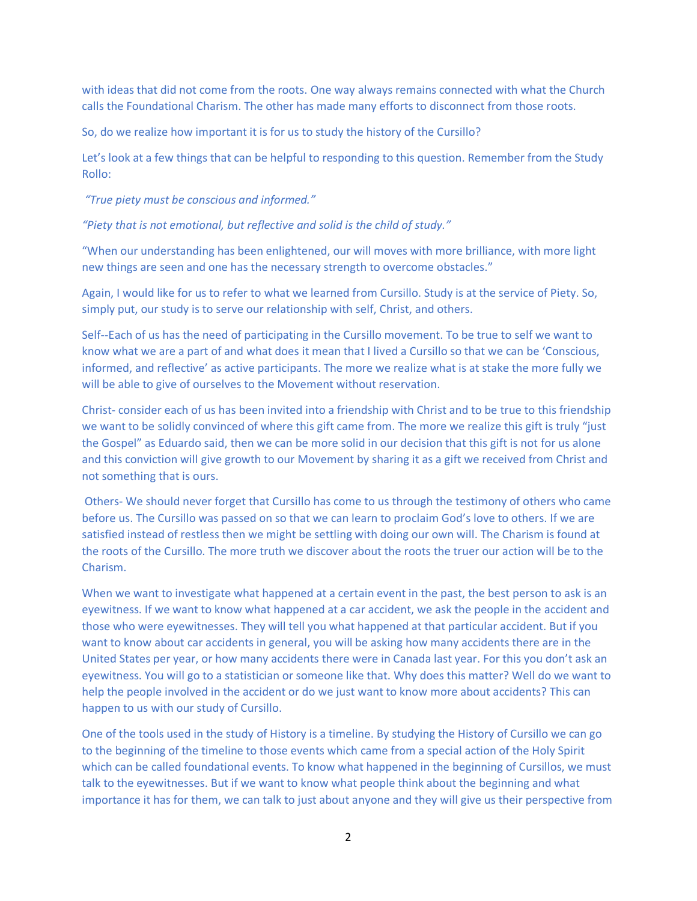with ideas that did not come from the roots. One way always remains connected with what the Church calls the Foundational Charism. The other has made many efforts to disconnect from those roots.

So, do we realize how important it is for us to study the history of the Cursillo?

Let's look at a few things that can be helpful to responding to this question. Remember from the Study Rollo:

*"True piety must be conscious and informed."*

*"Piety that is not emotional, but reflective and solid is the child of study."*

"When our understanding has been enlightened, our will moves with more brilliance, with more light new things are seen and one has the necessary strength to overcome obstacles."

Again, I would like for us to refer to what we learned from Cursillo. Study is at the service of Piety. So, simply put, our study is to serve our relationship with self, Christ, and others.

Self--Each of us has the need of participating in the Cursillo movement. To be true to self we want to know what we are a part of and what does it mean that I lived a Cursillo so that we can be 'Conscious, informed, and reflective' as active participants. The more we realize what is at stake the more fully we will be able to give of ourselves to the Movement without reservation.

Christ- consider each of us has been invited into a friendship with Christ and to be true to this friendship we want to be solidly convinced of where this gift came from. The more we realize this gift is truly "just the Gospel" as Eduardo said, then we can be more solid in our decision that this gift is not for us alone and this conviction will give growth to our Movement by sharing it as a gift we received from Christ and not something that is ours.

Others- We should never forget that Cursillo has come to us through the testimony of others who came before us. The Cursillo was passed on so that we can learn to proclaim God's love to others. If we are satisfied instead of restless then we might be settling with doing our own will. The Charism is found at the roots of the Cursillo. The more truth we discover about the roots the truer our action will be to the Charism.

When we want to investigate what happened at a certain event in the past, the best person to ask is an eyewitness. If we want to know what happened at a car accident, we ask the people in the accident and those who were eyewitnesses. They will tell you what happened at that particular accident. But if you want to know about car accidents in general, you will be asking how many accidents there are in the United States per year, or how many accidents there were in Canada last year. For this you don't ask an eyewitness. You will go to a statistician or someone like that. Why does this matter? Well do we want to help the people involved in the accident or do we just want to know more about accidents? This can happen to us with our study of Cursillo.

One of the tools used in the study of History is a timeline. By studying the History of Cursillo we can go to the beginning of the timeline to those events which came from a special action of the Holy Spirit which can be called foundational events. To know what happened in the beginning of Cursillos, we must talk to the eyewitnesses. But if we want to know what people think about the beginning and what importance it has for them, we can talk to just about anyone and they will give us their perspective from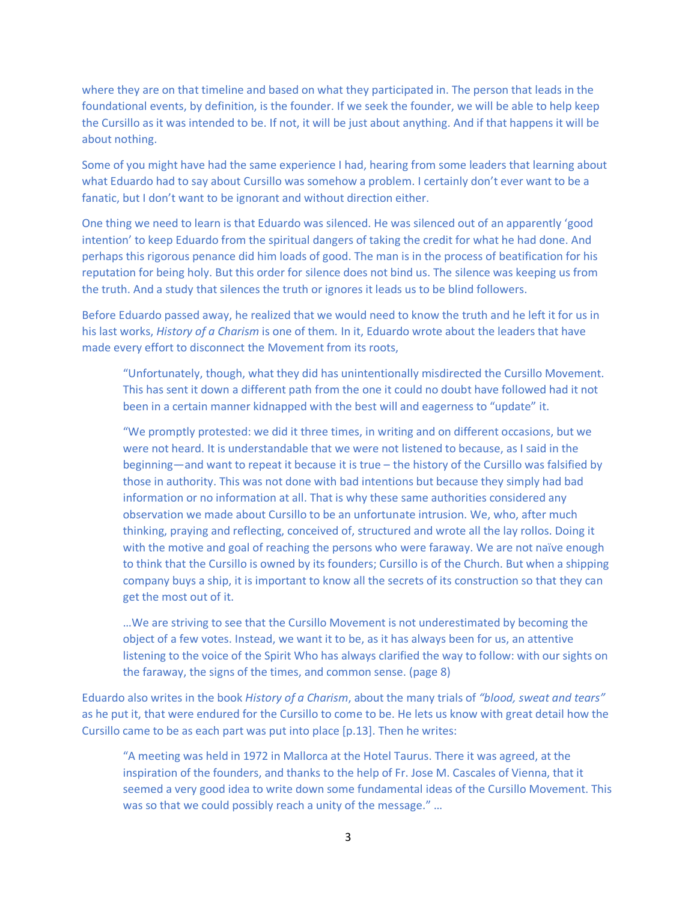where they are on that timeline and based on what they participated in. The person that leads in the foundational events, by definition, is the founder. If we seek the founder, we will be able to help keep the Cursillo as it was intended to be. If not, it will be just about anything. And if that happens it will be about nothing.

Some of you might have had the same experience I had, hearing from some leaders that learning about what Eduardo had to say about Cursillo was somehow a problem. I certainly don't ever want to be a fanatic, but I don't want to be ignorant and without direction either.

One thing we need to learn is that Eduardo was silenced. He was silenced out of an apparently 'good intention' to keep Eduardo from the spiritual dangers of taking the credit for what he had done. And perhaps this rigorous penance did him loads of good. The man is in the process of beatification for his reputation for being holy. But this order for silence does not bind us. The silence was keeping us from the truth. And a study that silences the truth or ignores it leads us to be blind followers.

Before Eduardo passed away, he realized that we would need to know the truth and he left it for us in his last works, *History of a Charism* is one of them*.* In it, Eduardo wrote about the leaders that have made every effort to disconnect the Movement from its roots,

"Unfortunately, though, what they did has unintentionally misdirected the Cursillo Movement. This has sent it down a different path from the one it could no doubt have followed had it not been in a certain manner kidnapped with the best will and eagerness to "update" it.

"We promptly protested: we did it three times, in writing and on different occasions, but we were not heard. It is understandable that we were not listened to because, as I said in the beginning—and want to repeat it because it is true – the history of the Cursillo was falsified by those in authority. This was not done with bad intentions but because they simply had bad information or no information at all. That is why these same authorities considered any observation we made about Cursillo to be an unfortunate intrusion. We, who, after much thinking, praying and reflecting, conceived of, structured and wrote all the lay rollos. Doing it with the motive and goal of reaching the persons who were faraway. We are not naïve enough to think that the Cursillo is owned by its founders; Cursillo is of the Church. But when a shipping company buys a ship, it is important to know all the secrets of its construction so that they can get the most out of it.

…We are striving to see that the Cursillo Movement is not underestimated by becoming the object of a few votes. Instead, we want it to be, as it has always been for us, an attentive listening to the voice of the Spirit Who has always clarified the way to follow: with our sights on the faraway, the signs of the times, and common sense. (page 8)

Eduardo also writes in the book *History of a Charism*, about the many trials of *"blood, sweat and tears"* as he put it, that were endured for the Cursillo to come to be. He lets us know with great detail how the Cursillo came to be as each part was put into place [p.13]. Then he writes:

"A meeting was held in 1972 in Mallorca at the Hotel Taurus. There it was agreed, at the inspiration of the founders, and thanks to the help of Fr. Jose M. Cascales of Vienna, that it seemed a very good idea to write down some fundamental ideas of the Cursillo Movement. This was so that we could possibly reach a unity of the message." ...